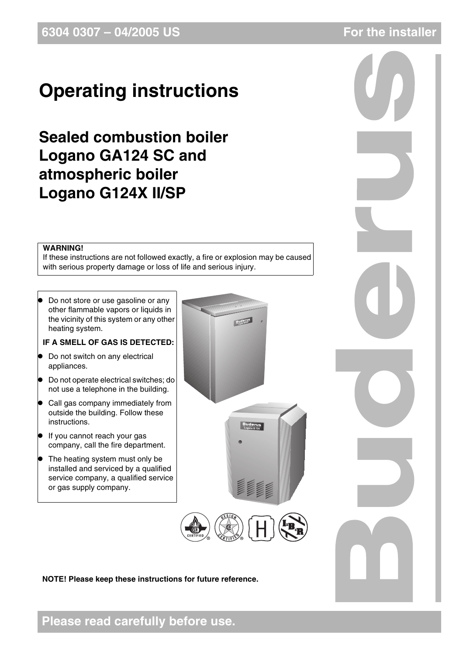## **Operating instructions**

## **Sealed combustion boiler Logano GA124 SC and atmospheric boiler Logano G124X II/SP**

### **WARNING!**

If these instructions are not followed exactly, a fire or explosion may be caused with serious property damage or loss of life and serious injury.

Do not store or use gasoline or any other flammable vapors or liquids in the vicinity of this system or any other heating system.

### **IF A SMELL OF GAS IS DETECTED:**

- Do not switch on any electrical appliances.
- $\bullet$  Do not operate electrical switches; do not use a telephone in the building.
- Call gas company immediately from outside the building. Follow these instructions.
- If you cannot reach your gas company, call the fire department.
- $\bullet$  The heating system must only be installed and serviced by a qualified service company, a qualified service or gas supply company.



**NOTE! Please keep these instructions for future reference.**



**Please read carefully before use.**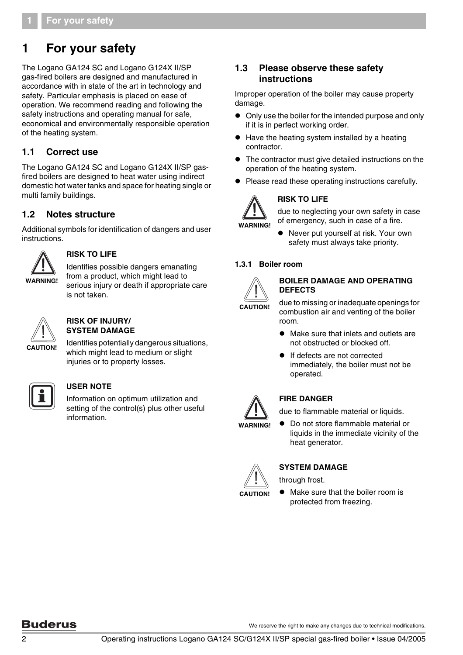### **1 For your safety**

The Logano GA124 SC and Logano G124X II/SP gas-fired boilers are designed and manufactured in accordance with in state of the art in technology and safety. Particular emphasis is placed on ease of operation. We recommend reading and following the safety instructions and operating manual for safe, economical and environmentally responsible operation of the heating system.

### **1.1 Correct use**

The Logano GA124 SC and Logano G124X II/SP gasfired boilers are designed to heat water using indirect domestic hot water tanks and space for heating single or multi family buildings.

### **1.2 Notes structure**

Additional symbols for identification of dangers and user instructions.



### **RISK TO LIFE**

Identifies possible dangers emanating from a product, which might lead to serious injury or death if appropriate care is not taken.



### **RISK OF INJURY/ SYSTEM DAMAGE**

Identifies potentially dangerous situations, which might lead to medium or slight injuries or to property losses.



### **USER NOTE**

Information on optimum utilization and setting of the control(s) plus other useful information.

### **1.3 Please observe these safety instructions**

Improper operation of the boiler may cause property damage.

- Only use the boiler for the intended purpose and only if it is in perfect working order.
- $\bullet$  Have the heating system installed by a heating contractor.
- The contractor must give detailed instructions on the operation of the heating system.
- Please read these operating instructions carefully.



**WARNING!**

**RISK TO LIFE**

due to neglecting your own safety in case of emergency, such in case of a fire.

Never put yourself at risk. Your own safety must always take priority.

### **1.3.1 Boiler room**



#### **BOILER DAMAGE AND OPERATING DEFECTS**

due to missing or inadequate openings for combustion air and venting of the boiler room.

- Make sure that inlets and outlets are not obstructed or blocked off.
- **•** If defects are not corrected immediately, the boiler must not be operated.



### **FIRE DANGER**

due to flammable material or liquids.

● Do not store flammable material or liquids in the immediate vicinity of the heat generator.



### **SYSTEM DAMAGE**

through frost.

Make sure that the boiler room is protected from freezing.

### **Buderus**

We reserve the right to make any changes due to technical modifications.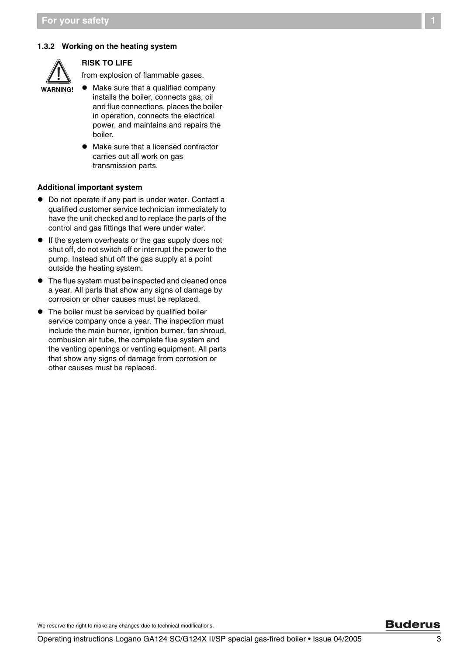### **1.3.2 Working on the heating system**



#### **RISK TO LIFE**

from explosion of flammable gases.

- 
- $\bullet$  Make sure that a qualified company installs the boiler, connects gas, oil and flue connections, places the boiler in operation, connects the electrical power, and maintains and repairs the boiler.
	- Make sure that a licensed contractor carries out all work on gas transmission parts.

#### **Additional important system**

- Do not operate if any part is under water. Contact a qualified customer service technician immediately to have the unit checked and to replace the parts of the control and gas fittings that were under water.
- If the system overheats or the gas supply does not shut off, do not switch off or interrupt the power to the pump. Instead shut off the gas supply at a point outside the heating system.
- $\bullet$  The flue system must be inspected and cleaned once a year. All parts that show any signs of damage by corrosion or other causes must be replaced.
- The boiler must be serviced by qualified boiler service company once a year. The inspection must include the main burner, ignition burner, fan shroud, combusion air tube, the complete flue system and the venting openings or venting equipment. All parts that show any signs of damage from corrosion or other causes must be replaced.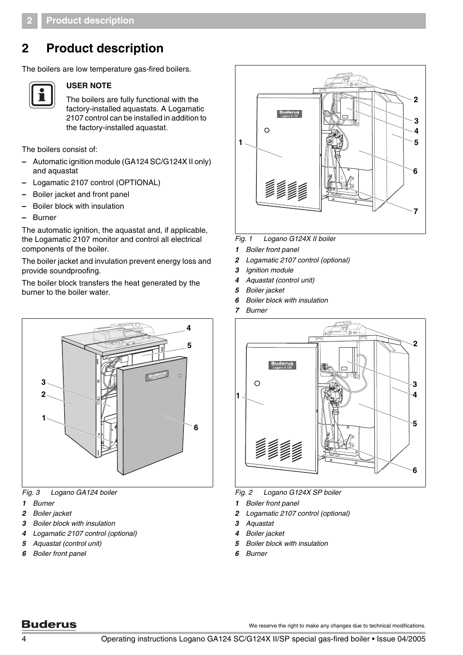### **2 Product description**

The boilers are low temperature gas-fired boilers.



### **USER NOTE**

The boilers are fully functional with the factory-installed aquastats. A Logamatic 2107 control can be installed in addition to the factory-installed aquastat.

The boilers consist of:

- **–** Automatic ignition module (GA124 SC/G124X II only) and aquastat
- **–** Logamatic 2107 control (OPTIONAL)
- **–** Boiler jacket and front panel
- **–** Boiler block with insulation
- **–** Burner

The automatic ignition, the aquastat and, if applicable, the Logamatic 2107 monitor and control all electrical components of the boiler.

The boiler jacket and invulation prevent energy loss and provide soundproofing.

The boiler block transfers the heat generated by the burner to the boiler water.



*Fig. 3 Logano GA124 boiler*

- *Burner*
- *Boiler jacket*
- *Boiler block with insulation*
- *Logamatic 2107 control (optional)*
- *Aquastat (control unit)*
- *Boiler front panel*



*Fig. 1 Logano G124X II boiler*

- *Boiler front panel*
- *Logamatic 2107 control (optional)*
- *Ignition module*
- *Aquastat (control unit)*
- *Boiler jacket*
- *Boiler block with insulation*
- *Burner*



*Fig. 2 Logano G124X SP boiler*

- *Boiler front panel*
- *Logamatic 2107 control (optional)*
- *Aquastat*
- *Boiler jacket*
- *Boiler block with insulation*
- *Burner*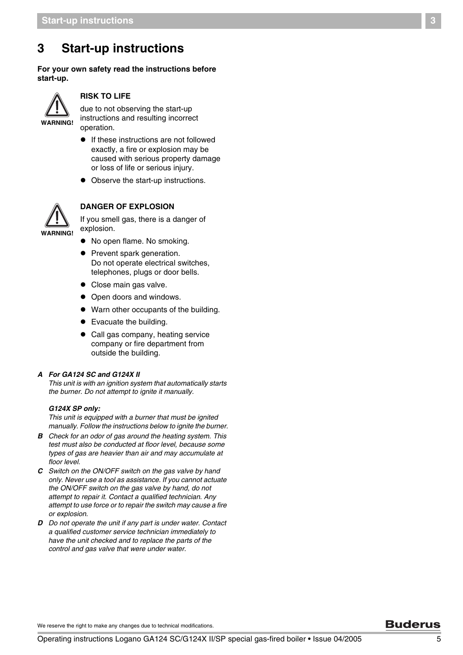### <span id="page-4-0"></span>**3 Start-up instructions**

**For your own safety read the instructions before start-up.**



#### **RISK TO LIFE**

due to not observing the start-up instructions and resulting incorrect operation.

- $\bullet$  If these instructions are not followed exactly, a fire or explosion may be caused with serious property damage or loss of life or serious injury.
- Observe the start-up instructions.



**DANGER OF EXPLOSION**

If you smell gas, there is a danger of explosion.

- No open flame. No smoking.
- Prevent spark generation. Do not operate electrical switches, telephones, plugs or door bells.
- Close main gas valve.
- Open doors and windows.
- Warn other occupants of the building.
- $\bullet$  Evacuate the building.
- Call gas company, heating service company or fire department from outside the building.

#### *A For GA124 SC and G124X II*

*This unit is with an ignition system that automatically starts the burner. Do not attempt to ignite it manually.*

#### *G124X SP only:*

*This unit is equipped with a burner that must be ignited manually. Follow the instructions below to ignite the burner.*

- *B Check for an odor of gas around the heating system. This test must also be conducted at floor level, because some types of gas are heavier than air and may accumulate at floor level.*
- *C Switch on the ON/OFF switch on the gas valve by hand only. Never use a tool as assistance. If you cannot actuate the ON/OFF switch on the gas valve by hand, do not attempt to repair it. Contact a qualified technician. Any attempt to use force or to repair the switch may cause a fire or explosion.*
- *D Do not operate the unit if any part is under water. Contact a qualified customer service technician immediately to have the unit checked and to replace the parts of the control and gas valve that were under water.*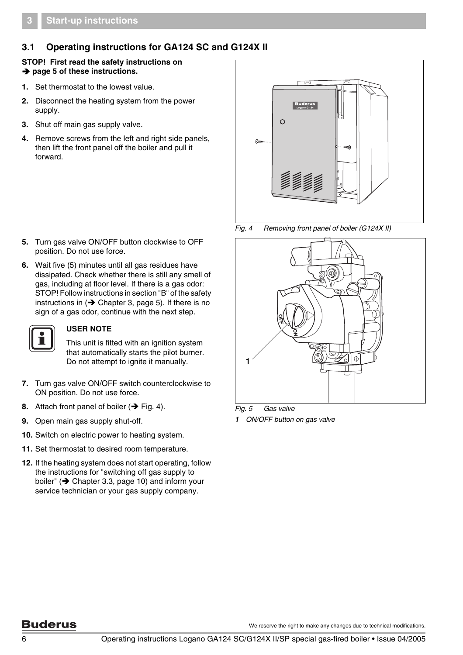### **3.1 Operating instructions for GA124 SC and G124X II**

### **STOP! First read the safety instructions on → [page](#page-4-0) 5 of these instructions.**

- **1.** Set thermostat to the lowest value.
- **2.** Disconnect the heating system from the power supply.
- **3.** Shut off main gas supply valve.
- **4.** Remove screws from the left and right side panels, then lift the front panel off the boiler and pull it forward.

- **5.** Turn gas valve ON/OFF button clockwise to OFF position. Do not use force.
- **6.** Wait five (5) minutes until all gas residues have dissipated. Check whether there is still any smell of gas, including at floor level. If there is a gas odor: STOP! Follow instructions in section "B" of the safety instructions in ( $\rightarrow$  [Chapter](#page-4-0) 3, page 5). If there is no sign of a gas odor, continue with the next step.



### **USER NOTE**

This unit is fitted with an ignition system that automatically starts the pilot burner. Do not attempt to ignite it manually.

- **7.** Turn gas valve ON/OFF switch counterclockwise to ON position. Do not use force.
- **8.** Attach front panel of boiler  $(\rightarrow$  [Fig. 4\).](#page-5-0)
- **9.** Open main gas supply shut-off.
- **10.** Switch on electric power to heating system.
- **11.** Set thermostat to desired room temperature.
- **12.** If the heating system does not start operating, follow the instructions for "switching off gas supply to boiler" ( $\rightarrow$  Chapter [3.3, page](#page-9-0) 10) and inform your service technician or your gas supply company.



<span id="page-5-0"></span>*Fig. 4 Removing front panel of boiler (G124X II)*



*Fig. 5 Gas valve 1 ON/OFF button on gas valve*

### **Buderus**

We reserve the right to make any changes due to technical modifications.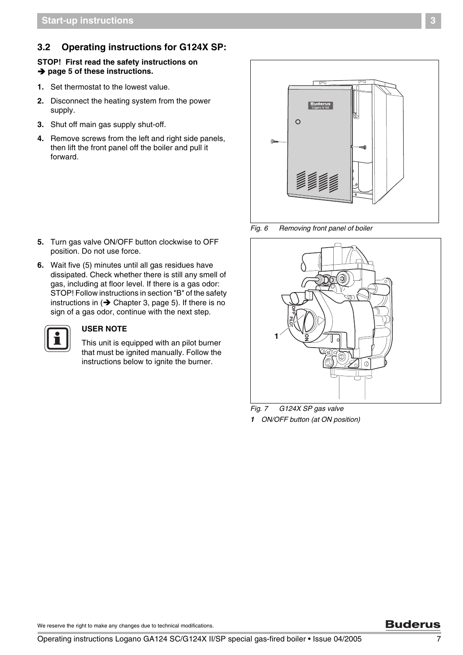### **3.2 Operating instructions for G124X SP:**

### **STOP! First read the safety instructions on → [page](#page-4-0) 5 of these instructions.**

- **1.** Set thermostat to the lowest value.
- **2.** Disconnect the heating system from the power supply.
- **3.** Shut off main gas supply shut-off.
- **4.** Remove screws from the left and right side panels, then lift the front panel off the boiler and pull it forward.

- **5.** Turn gas valve ON/OFF button clockwise to OFF position. Do not use force.
- **6.** Wait five (5) minutes until all gas residues have dissipated. Check whether there is still any smell of gas, including at floor level. If there is a gas odor: STOP! Follow instructions in section "B" of the safety instructions in  $\rightarrow$  [Chapter](#page-4-0) 3, page 5). If there is no sign of a gas odor, continue with the next step.



### **USER NOTE**

This unit is equipped with an pilot burner that must be ignited manually. Follow the instructions below to ignite the burner.



<span id="page-6-0"></span>*Fig. 6 Removing front panel of boiler*



*Fig. 7 G124X SP gas valve 1 ON/OFF button (at ON position)*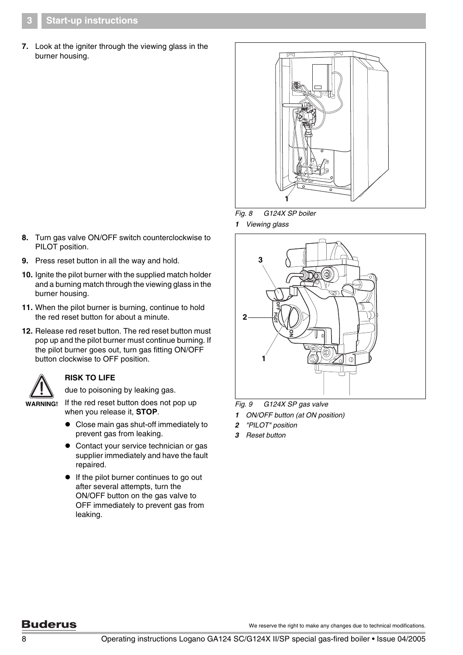**7.** Look at the igniter through the viewing glass in the burner housing.





*1 Viewing glass*



<span id="page-7-0"></span>*Fig. 9 G124X SP gas valve*

- *1 ON/OFF button (at ON position)*
- *2 "PILOT" position*
- *3 Reset button*
- **8.** Turn gas valve ON/OFF switch counterclockwise to PILOT position.
- **9.** Press reset button in all the way and hold.
- **10.** Ignite the pilot burner with the supplied match holder and a burning match through the viewing glass in the burner housing.
- **11.** When the pilot burner is burning, continue to hold the red reset button for about a minute.
- **12.** Release red reset button. The red reset button must pop up and the pilot burner must continue burning. If the pilot burner goes out, turn gas fitting ON/OFF button clockwise to OFF position.



### **RISK TO LIFE**

due to poisoning by leaking gas.

**WARNING!**

when you release it, **STOP**. • Close main gas shut-off immediately to

If the red reset button does not pop up

- prevent gas from leaking.  $\bullet$  Contact your service technician or gas
- supplier immediately and have the fault repaired.
- **•** If the pilot burner continues to go out after several attempts, turn the ON/OFF button on the gas valve to OFF immediately to prevent gas from leaking.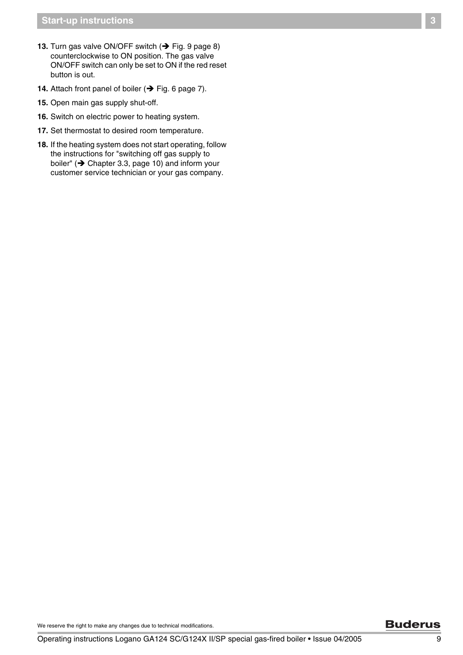- **13.** Turn gas valve ON/OFF switch  $(\rightarrow)$  [Fig. 9 page](#page-7-0) 8) counterclockwise to ON position. The gas valve ON/OFF switch can only be set to ON if the red reset button is out.
- **14.** Attach front panel of boiler  $(\rightarrow$  [Fig. 6 page](#page-6-0) 7).
- **15.** Open main gas supply shut-off.
- **16.** Switch on electric power to heating system.
- **17.** Set thermostat to desired room temperature.
- **18.** If the heating system does not start operating, follow the instructions for "switching off gas supply to boiler" ( $\rightarrow$  Chapter [3.3, page](#page-9-0) 10) and inform your customer service technician or your gas company.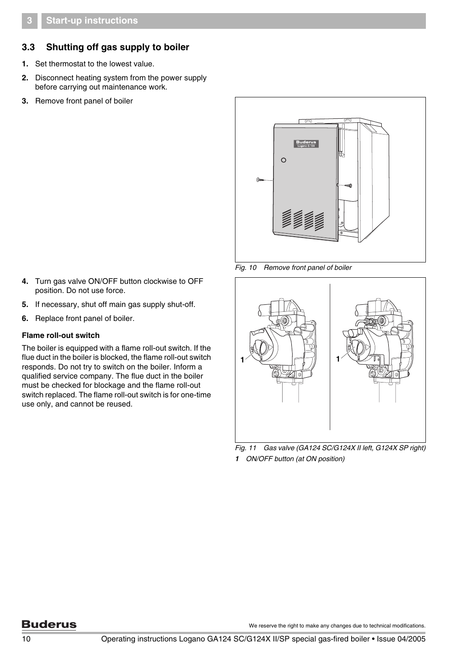### <span id="page-9-0"></span>**3.3 Shutting off gas supply to boiler**

- **1.** Set thermostat to the lowest value.
- **2.** Disconnect heating system from the power supply before carrying out maintenance work.
- **3.** Remove front panel of boiler



*Fig. 10 Remove front panel of boiler*

- **4.** Turn gas valve ON/OFF button clockwise to OFF position. Do not use force.
- **5.** If necessary, shut off main gas supply shut-off.
- **6.** Replace front panel of boiler.

#### **Flame roll-out switch**

The boiler is equipped with a flame roll-out switch. If the flue duct in the boiler is blocked, the flame roll-out switch responds. Do not try to switch on the boiler. Inform a qualified service company. The flue duct in the boiler must be checked for blockage and the flame roll-out switch replaced. The flame roll-out switch is for one-time use only, and cannot be reused.



*Fig. 11 Gas valve (GA124 SC/G124X II left, G124X SP right) 1 ON/OFF button (at ON position)*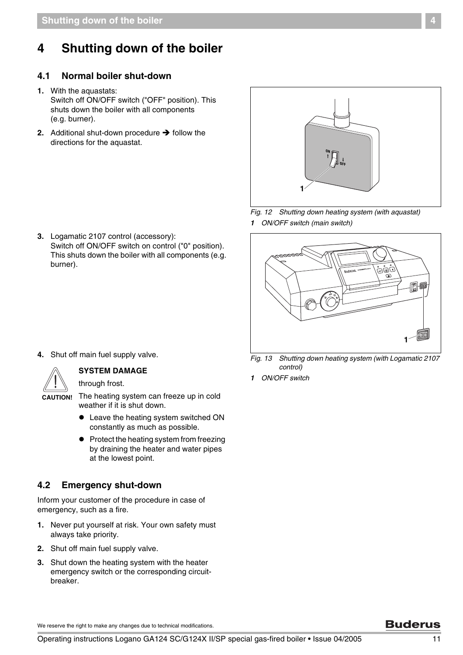## **4 Shutting down of the boiler**

### **4.1 Normal boiler shut-down**

- **1.** With the aquastats: Switch off ON/OFF switch ("OFF" position). This shuts down the boiler with all components (e.g. burner).
- **2.** Additional shut-down procedure  $\rightarrow$  follow the directions for the aquastat.



<span id="page-10-0"></span>*Fig. 12 Shutting down heating system (with aquastat) 1 ON/OFF switch (main switch)*

- كأفاك  $\circ$ ml 1Г **1**
- *Fig. 13 Shutting down heating system (with Logamatic 2107 control)*
	- *1 ON/OFF switch*

**3.** Logamatic 2107 control (accessory): Switch off ON/OFF switch on control ("0" position). This shuts down the boiler with all components (e.g. burner).

**4.** Shut off main fuel supply valve.



### **SYSTEM DAMAGE**

through frost.

**CAUTION!**

- The heating system can freeze up in cold weather if it is shut down.
	- Leave the heating system switched ON constantly as much as possible.
	- $\bullet$  Protect the heating system from freezing by draining the heater and water pipes at the lowest point.

### **4.2 Emergency shut-down**

Inform your customer of the procedure in case of emergency, such as a fire.

- **1.** Never put yourself at risk. Your own safety must always take priority.
- **2.** Shut off main fuel supply valve.
- **3.** Shut down the heating system with the heater emergency switch or the corresponding circuitbreaker.